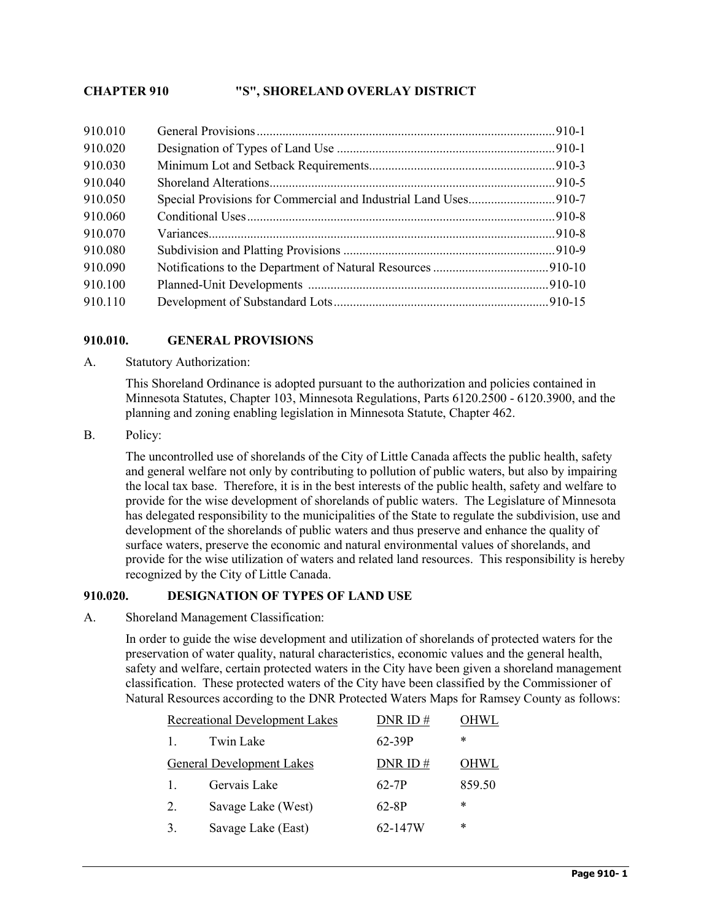# **CHAPTER 910 "S", SHORELAND OVERLAY DISTRICT**

### **910.010. GENERAL PROVISIONS**

A. Statutory Authorization:

This Shoreland Ordinance is adopted pursuant to the authorization and policies contained in Minnesota Statutes, Chapter 103, Minnesota Regulations, Parts 6120.2500 - 6120.3900, and the planning and zoning enabling legislation in Minnesota Statute, Chapter 462.

B. Policy:

The uncontrolled use of shorelands of the City of Little Canada affects the public health, safety and general welfare not only by contributing to pollution of public waters, but also by impairing the local tax base. Therefore, it is in the best interests of the public health, safety and welfare to provide for the wise development of shorelands of public waters. The Legislature of Minnesota has delegated responsibility to the municipalities of the State to regulate the subdivision, use and development of the shorelands of public waters and thus preserve and enhance the quality of surface waters, preserve the economic and natural environmental values of shorelands, and provide for the wise utilization of waters and related land resources. This responsibility is hereby recognized by the City of Little Canada.

### **910.020. DESIGNATION OF TYPES OF LAND USE**

A. Shoreland Management Classification:

In order to guide the wise development and utilization of shorelands of protected waters for the preservation of water quality, natural characteristics, economic values and the general health, safety and welfare, certain protected waters in the City have been given a shoreland management classification. These protected waters of the City have been classified by the Commissioner of Natural Resources according to the DNR Protected Waters Maps for Ramsey County as follows:

| <b>Recreational Development Lakes</b> |                                  | DNR ID $#$ | OHWL        |
|---------------------------------------|----------------------------------|------------|-------------|
| $\mathbf{1}$                          | Twin Lake                        | 62-39P     | *           |
|                                       | <b>General Development Lakes</b> | DNR ID $#$ | <b>OHWL</b> |
| $\mathbf{1}$ .                        | Gervais Lake                     | 62-7P      | 859.50      |
| 2.                                    | Savage Lake (West)               | 62-8P      | *           |
| 3.                                    | Savage Lake (East)               | 62-147W    | *           |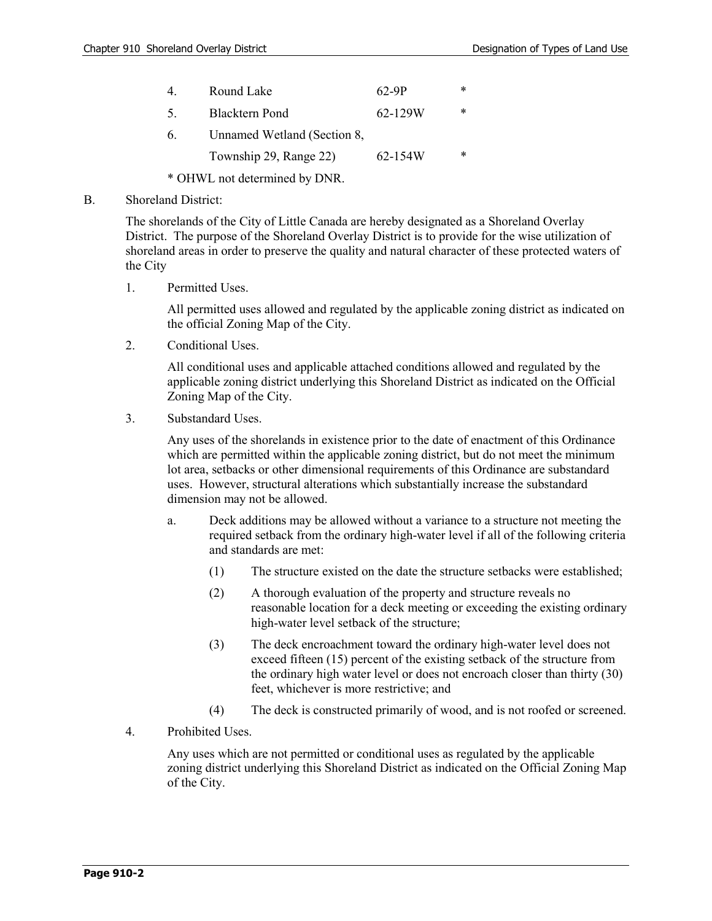|     | Round Lake                  | 62-9P   | ∗ |
|-----|-----------------------------|---------|---|
| .5. | <b>Blacktern Pond</b>       | 62-129W | * |
| 6.  | Unnamed Wetland (Section 8, |         |   |
|     | Township 29, Range 22)      | 62-154W | * |
|     |                             |         |   |

\* OHWL not determined by DNR.

#### B. Shoreland District:

The shorelands of the City of Little Canada are hereby designated as a Shoreland Overlay District. The purpose of the Shoreland Overlay District is to provide for the wise utilization of shoreland areas in order to preserve the quality and natural character of these protected waters of the City

1. Permitted Uses.

All permitted uses allowed and regulated by the applicable zoning district as indicated on the official Zoning Map of the City.

2. Conditional Uses.

All conditional uses and applicable attached conditions allowed and regulated by the applicable zoning district underlying this Shoreland District as indicated on the Official Zoning Map of the City.

3. Substandard Uses.

Any uses of the shorelands in existence prior to the date of enactment of this Ordinance which are permitted within the applicable zoning district, but do not meet the minimum lot area, setbacks or other dimensional requirements of this Ordinance are substandard uses. However, structural alterations which substantially increase the substandard dimension may not be allowed.

- a. Deck additions may be allowed without a variance to a structure not meeting the required setback from the ordinary high-water level if all of the following criteria and standards are met:
	- (1) The structure existed on the date the structure setbacks were established;
	- (2) A thorough evaluation of the property and structure reveals no reasonable location for a deck meeting or exceeding the existing ordinary high-water level setback of the structure;
	- (3) The deck encroachment toward the ordinary high-water level does not exceed fifteen (15) percent of the existing setback of the structure from the ordinary high water level or does not encroach closer than thirty (30) feet, whichever is more restrictive; and
	- (4) The deck is constructed primarily of wood, and is not roofed or screened.
- 4. Prohibited Uses.

Any uses which are not permitted or conditional uses as regulated by the applicable zoning district underlying this Shoreland District as indicated on the Official Zoning Map of the City.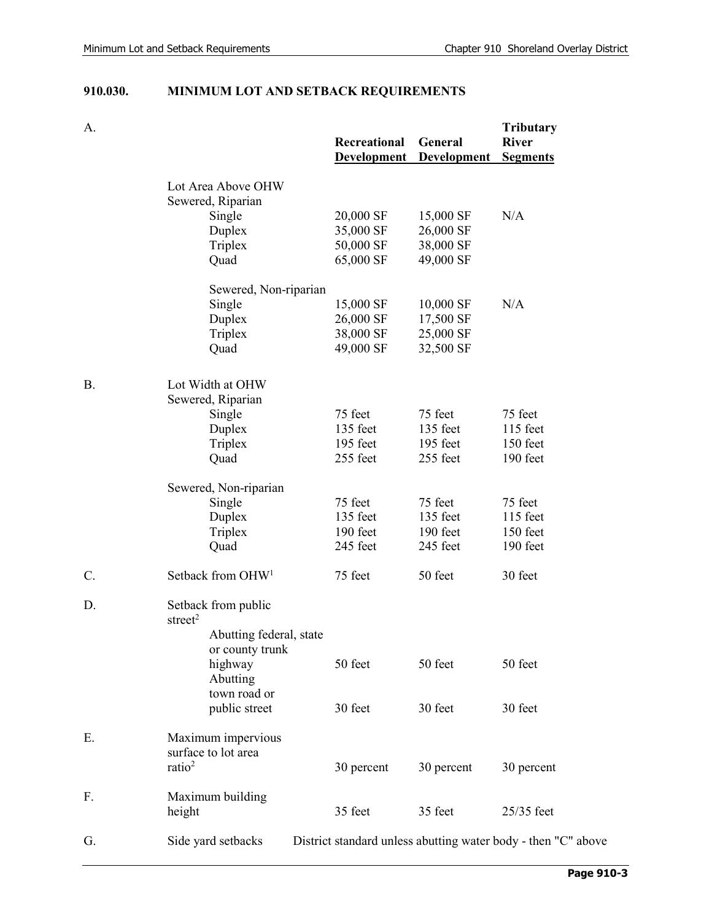# **910.030. MINIMUM LOT AND SETBACK REQUIREMENTS**

| A. |                                            | Recreational<br><b>Development</b> | General<br><b>Development</b> | <b>Tributary</b><br><b>River</b><br><b>Segments</b>           |
|----|--------------------------------------------|------------------------------------|-------------------------------|---------------------------------------------------------------|
|    | Lot Area Above OHW                         |                                    |                               |                                                               |
|    | Sewered, Riparian                          |                                    |                               |                                                               |
|    | Single                                     | 20,000 SF                          | 15,000 SF                     | N/A                                                           |
|    | Duplex                                     | 35,000 SF                          | 26,000 SF                     |                                                               |
|    | Triplex                                    | 50,000 SF                          | 38,000 SF                     |                                                               |
|    | Quad                                       | 65,000 SF                          | 49,000 SF                     |                                                               |
|    | Sewered, Non-riparian                      |                                    |                               |                                                               |
|    | Single                                     | 15,000 SF                          | 10,000 SF                     | N/A                                                           |
|    | Duplex                                     | 26,000 SF                          | 17,500 SF                     |                                                               |
|    | Triplex                                    | 38,000 SF                          | 25,000 SF                     |                                                               |
|    | Quad                                       | 49,000 SF                          | 32,500 SF                     |                                                               |
| В. | Lot Width at OHW                           |                                    |                               |                                                               |
|    | Sewered, Riparian                          |                                    |                               |                                                               |
|    | Single                                     | 75 feet                            | 75 feet                       | 75 feet                                                       |
|    | Duplex                                     | 135 feet                           | 135 feet                      | 115 feet                                                      |
|    | Triplex                                    | 195 feet                           | 195 feet                      | 150 feet                                                      |
|    | Quad                                       | 255 feet                           | 255 feet                      | 190 feet                                                      |
|    | Sewered, Non-riparian                      |                                    |                               |                                                               |
|    | Single                                     | 75 feet                            | 75 feet                       | 75 feet                                                       |
|    | Duplex                                     | 135 feet                           | 135 feet                      | $115$ feet                                                    |
|    | Triplex                                    | 190 feet                           | 190 feet                      | 150 feet                                                      |
|    | Quad                                       | 245 feet                           | 245 feet                      | 190 feet                                                      |
| C. | Setback from OHW <sup>1</sup>              | 75 feet                            | 50 feet                       | 30 feet                                                       |
| D. | Setback from public<br>street $2$          |                                    |                               |                                                               |
|    | Abutting federal, state<br>or county trunk |                                    |                               |                                                               |
|    | highway                                    | 50 feet                            | 50 feet                       | 50 feet                                                       |
|    | Abutting                                   |                                    |                               |                                                               |
|    | town road or                               |                                    |                               |                                                               |
|    | public street                              | 30 feet                            | 30 feet                       | 30 feet                                                       |
| Е. | Maximum impervious                         |                                    |                               |                                                               |
|    | surface to lot area                        |                                    |                               |                                                               |
|    | ratio <sup>2</sup>                         | 30 percent                         | 30 percent                    | 30 percent                                                    |
| F. | Maximum building                           |                                    |                               |                                                               |
|    | height                                     | 35 feet                            | 35 feet                       | 25/35 feet                                                    |
| G. | Side yard setbacks                         |                                    |                               | District standard unless abutting water body - then "C" above |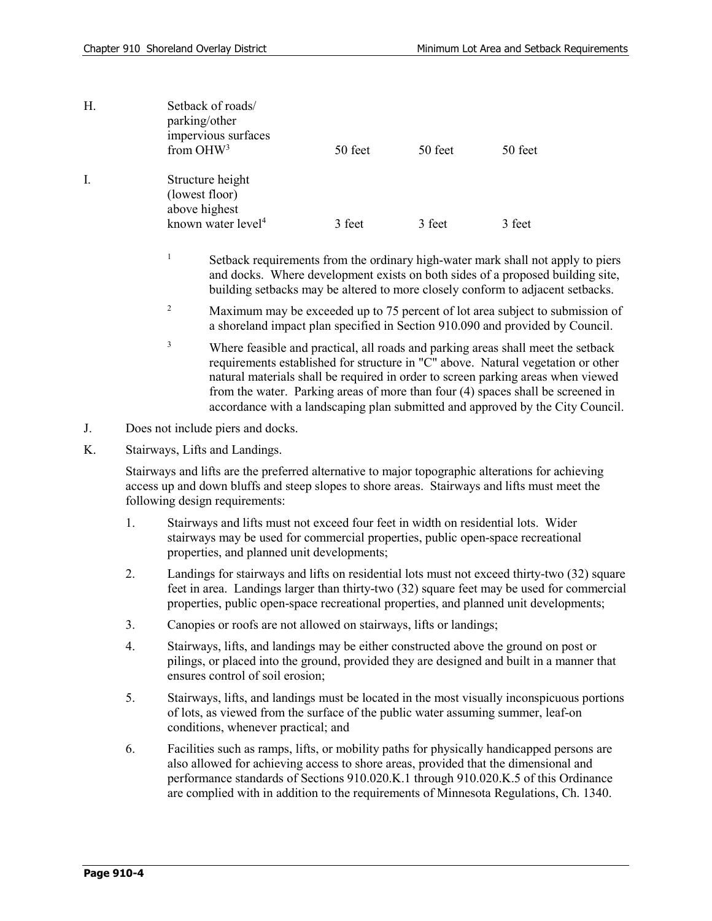| Η. | Setback of roads/<br>parking/other<br>impervious surfaces<br>from $OHW3$              | 50 feet | 50 feet | 50 feet |
|----|---------------------------------------------------------------------------------------|---------|---------|---------|
| Ι. | Structure height<br>(lowest floor)<br>above highest<br>known water level <sup>4</sup> | 3 feet  | 3 feet  | 3 feet  |

- <sup>1</sup> Setback requirements from the ordinary high-water mark shall not apply to piers and docks. Where development exists on both sides of a proposed building site, building setbacks may be altered to more closely conform to adjacent setbacks.
- <sup>2</sup> Maximum may be exceeded up to 75 percent of lot area subject to submission of a shoreland impact plan specified in Section 910.090 and provided by Council.
- <sup>3</sup> Where feasible and practical, all roads and parking areas shall meet the setback requirements established for structure in "C" above. Natural vegetation or other natural materials shall be required in order to screen parking areas when viewed from the water. Parking areas of more than four (4) spaces shall be screened in accordance with a landscaping plan submitted and approved by the City Council.
- J. Does not include piers and docks.
- K. Stairways, Lifts and Landings.

Stairways and lifts are the preferred alternative to major topographic alterations for achieving access up and down bluffs and steep slopes to shore areas. Stairways and lifts must meet the following design requirements:

- 1. Stairways and lifts must not exceed four feet in width on residential lots. Wider stairways may be used for commercial properties, public open-space recreational properties, and planned unit developments;
- 2. Landings for stairways and lifts on residential lots must not exceed thirty-two (32) square feet in area. Landings larger than thirty-two (32) square feet may be used for commercial properties, public open-space recreational properties, and planned unit developments;
- 3. Canopies or roofs are not allowed on stairways, lifts or landings;
- 4. Stairways, lifts, and landings may be either constructed above the ground on post or pilings, or placed into the ground, provided they are designed and built in a manner that ensures control of soil erosion;
- 5. Stairways, lifts, and landings must be located in the most visually inconspicuous portions of lots, as viewed from the surface of the public water assuming summer, leaf-on conditions, whenever practical; and
- 6. Facilities such as ramps, lifts, or mobility paths for physically handicapped persons are also allowed for achieving access to shore areas, provided that the dimensional and performance standards of Sections 910.020.K.1 through 910.020.K.5 of this Ordinance are complied with in addition to the requirements of Minnesota Regulations, Ch. 1340.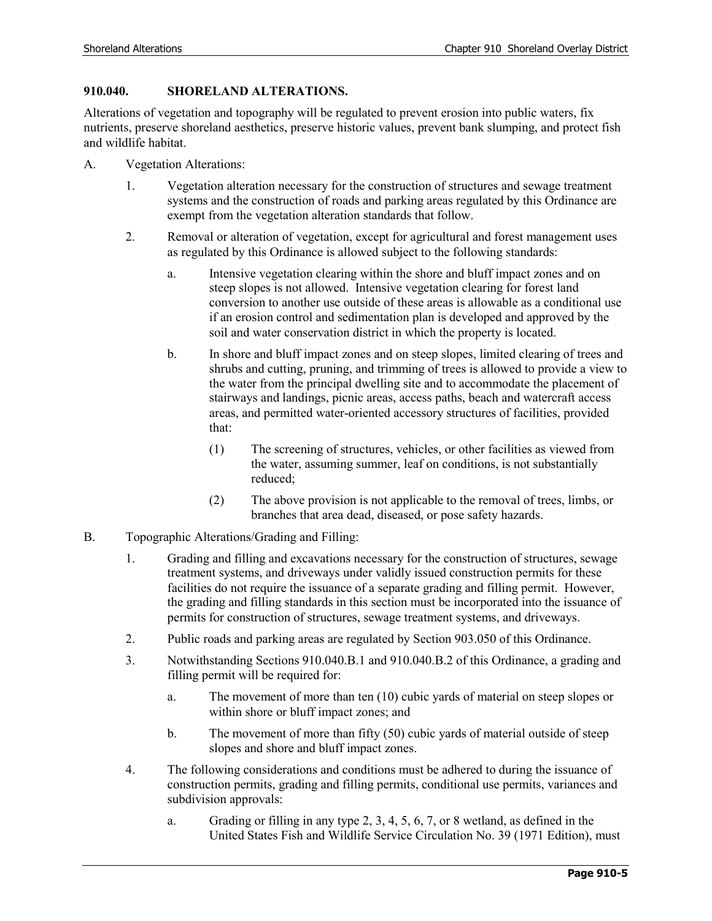### **910.040. SHORELAND ALTERATIONS.**

Alterations of vegetation and topography will be regulated to prevent erosion into public waters, fix nutrients, preserve shoreland aesthetics, preserve historic values, prevent bank slumping, and protect fish and wildlife habitat.

- A. Vegetation Alterations:
	- 1. Vegetation alteration necessary for the construction of structures and sewage treatment systems and the construction of roads and parking areas regulated by this Ordinance are exempt from the vegetation alteration standards that follow.
	- 2. Removal or alteration of vegetation, except for agricultural and forest management uses as regulated by this Ordinance is allowed subject to the following standards:
		- a. Intensive vegetation clearing within the shore and bluff impact zones and on steep slopes is not allowed. Intensive vegetation clearing for forest land conversion to another use outside of these areas is allowable as a conditional use if an erosion control and sedimentation plan is developed and approved by the soil and water conservation district in which the property is located.
		- b. In shore and bluff impact zones and on steep slopes, limited clearing of trees and shrubs and cutting, pruning, and trimming of trees is allowed to provide a view to the water from the principal dwelling site and to accommodate the placement of stairways and landings, picnic areas, access paths, beach and watercraft access areas, and permitted water-oriented accessory structures of facilities, provided that:
			- (1) The screening of structures, vehicles, or other facilities as viewed from the water, assuming summer, leaf on conditions, is not substantially reduced;
			- (2) The above provision is not applicable to the removal of trees, limbs, or branches that area dead, diseased, or pose safety hazards.
- B. Topographic Alterations/Grading and Filling:
	- 1. Grading and filling and excavations necessary for the construction of structures, sewage treatment systems, and driveways under validly issued construction permits for these facilities do not require the issuance of a separate grading and filling permit. However, the grading and filling standards in this section must be incorporated into the issuance of permits for construction of structures, sewage treatment systems, and driveways.
	- 2. Public roads and parking areas are regulated by Section 903.050 of this Ordinance.
	- 3. Notwithstanding Sections 910.040.B.1 and 910.040.B.2 of this Ordinance, a grading and filling permit will be required for:
		- a. The movement of more than ten (10) cubic yards of material on steep slopes or within shore or bluff impact zones; and
		- b. The movement of more than fifty (50) cubic yards of material outside of steep slopes and shore and bluff impact zones.
	- 4. The following considerations and conditions must be adhered to during the issuance of construction permits, grading and filling permits, conditional use permits, variances and subdivision approvals:
		- a. Grading or filling in any type 2, 3, 4, 5, 6, 7, or 8 wetland, as defined in the United States Fish and Wildlife Service Circulation No. 39 (1971 Edition), must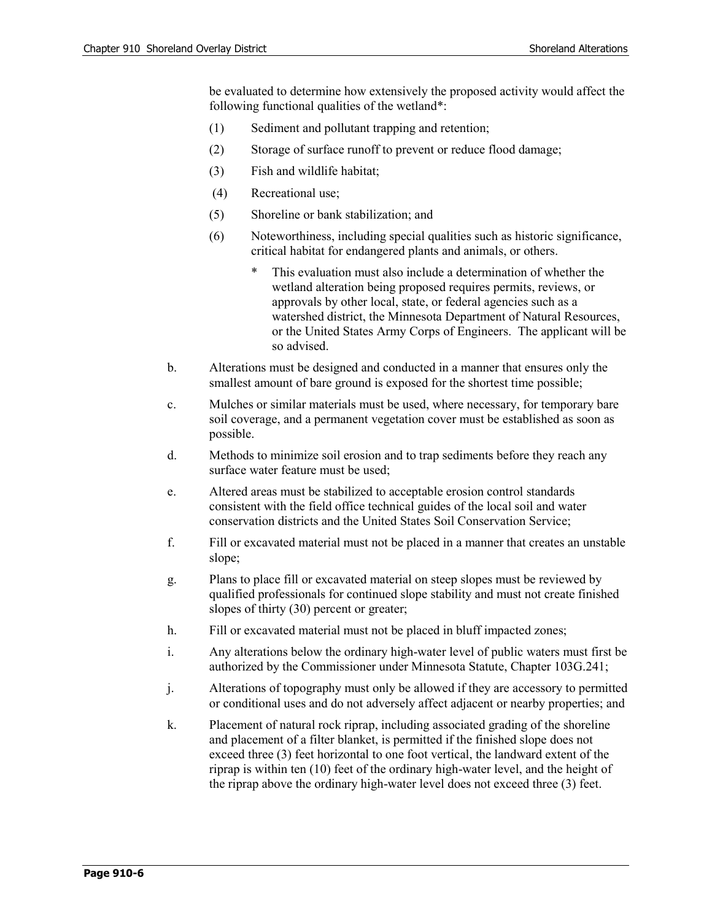be evaluated to determine how extensively the proposed activity would affect the following functional qualities of the wetland\*:

- (1) Sediment and pollutant trapping and retention;
- (2) Storage of surface runoff to prevent or reduce flood damage;
- (3) Fish and wildlife habitat;
- (4) Recreational use;
- (5) Shoreline or bank stabilization; and
- (6) Noteworthiness, including special qualities such as historic significance, critical habitat for endangered plants and animals, or others.
	- This evaluation must also include a determination of whether the wetland alteration being proposed requires permits, reviews, or approvals by other local, state, or federal agencies such as a watershed district, the Minnesota Department of Natural Resources, or the United States Army Corps of Engineers. The applicant will be so advised.
- b. Alterations must be designed and conducted in a manner that ensures only the smallest amount of bare ground is exposed for the shortest time possible;
- c. Mulches or similar materials must be used, where necessary, for temporary bare soil coverage, and a permanent vegetation cover must be established as soon as possible.
- d. Methods to minimize soil erosion and to trap sediments before they reach any surface water feature must be used;
- e. Altered areas must be stabilized to acceptable erosion control standards consistent with the field office technical guides of the local soil and water conservation districts and the United States Soil Conservation Service;
- f. Fill or excavated material must not be placed in a manner that creates an unstable slope;
- g. Plans to place fill or excavated material on steep slopes must be reviewed by qualified professionals for continued slope stability and must not create finished slopes of thirty (30) percent or greater;
- h. Fill or excavated material must not be placed in bluff impacted zones;
- i. Any alterations below the ordinary high-water level of public waters must first be authorized by the Commissioner under Minnesota Statute, Chapter 103G.241;
- j. Alterations of topography must only be allowed if they are accessory to permitted or conditional uses and do not adversely affect adjacent or nearby properties; and
- k. Placement of natural rock riprap, including associated grading of the shoreline and placement of a filter blanket, is permitted if the finished slope does not exceed three (3) feet horizontal to one foot vertical, the landward extent of the riprap is within ten (10) feet of the ordinary high-water level, and the height of the riprap above the ordinary high-water level does not exceed three (3) feet.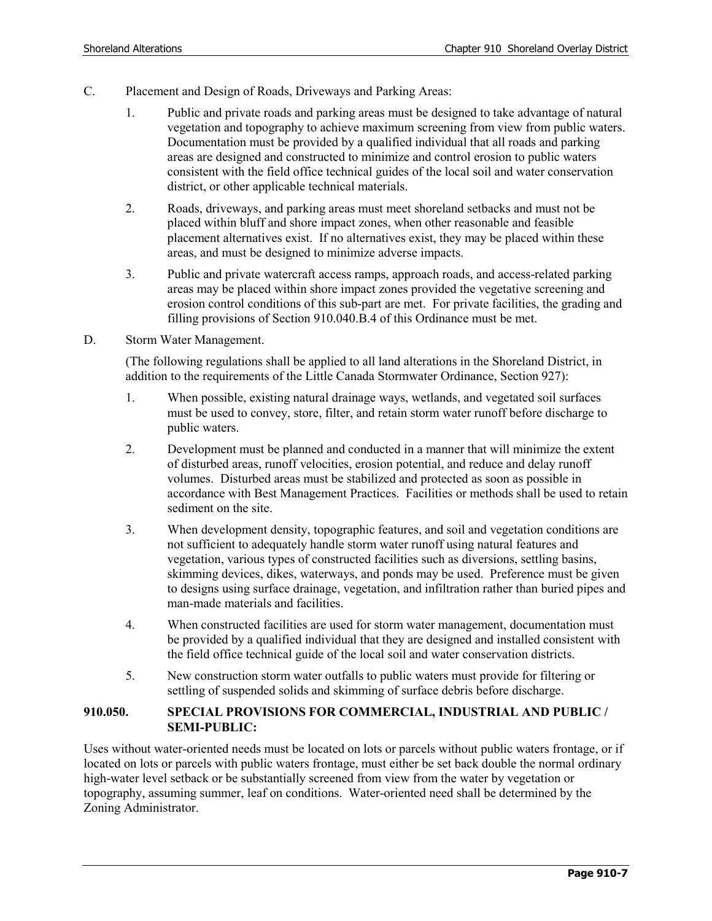- C. Placement and Design of Roads, Driveways and Parking Areas:
	- 1. Public and private roads and parking areas must be designed to take advantage of natural vegetation and topography to achieve maximum screening from view from public waters. Documentation must be provided by a qualified individual that all roads and parking areas are designed and constructed to minimize and control erosion to public waters consistent with the field office technical guides of the local soil and water conservation district, or other applicable technical materials.
	- 2. Roads, driveways, and parking areas must meet shoreland setbacks and must not be placed within bluff and shore impact zones, when other reasonable and feasible placement alternatives exist. If no alternatives exist, they may be placed within these areas, and must be designed to minimize adverse impacts.
	- 3. Public and private watercraft access ramps, approach roads, and access-related parking areas may be placed within shore impact zones provided the vegetative screening and erosion control conditions of this sub-part are met. For private facilities, the grading and filling provisions of Section 910.040.B.4 of this Ordinance must be met.
- D. Storm Water Management.

(The following regulations shall be applied to all land alterations in the Shoreland District, in addition to the requirements of the Little Canada Stormwater Ordinance, Section 927):

- 1. When possible, existing natural drainage ways, wetlands, and vegetated soil surfaces must be used to convey, store, filter, and retain storm water runoff before discharge to public waters.
- 2. Development must be planned and conducted in a manner that will minimize the extent of disturbed areas, runoff velocities, erosion potential, and reduce and delay runoff volumes. Disturbed areas must be stabilized and protected as soon as possible in accordance with Best Management Practices. Facilities or methods shall be used to retain sediment on the site.
- 3. When development density, topographic features, and soil and vegetation conditions are not sufficient to adequately handle storm water runoff using natural features and vegetation, various types of constructed facilities such as diversions, settling basins, skimming devices, dikes, waterways, and ponds may be used. Preference must be given to designs using surface drainage, vegetation, and infiltration rather than buried pipes and man-made materials and facilities.
- 4. When constructed facilities are used for storm water management, documentation must be provided by a qualified individual that they are designed and installed consistent with the field office technical guide of the local soil and water conservation districts.
- 5. New construction storm water outfalls to public waters must provide for filtering or settling of suspended solids and skimming of surface debris before discharge.

#### **910.050. SPECIAL PROVISIONS FOR COMMERCIAL, INDUSTRIAL AND PUBLIC / SEMI-PUBLIC:**

Uses without water-oriented needs must be located on lots or parcels without public waters frontage, or if located on lots or parcels with public waters frontage, must either be set back double the normal ordinary high-water level setback or be substantially screened from view from the water by vegetation or topography, assuming summer, leaf on conditions. Water-oriented need shall be determined by the Zoning Administrator.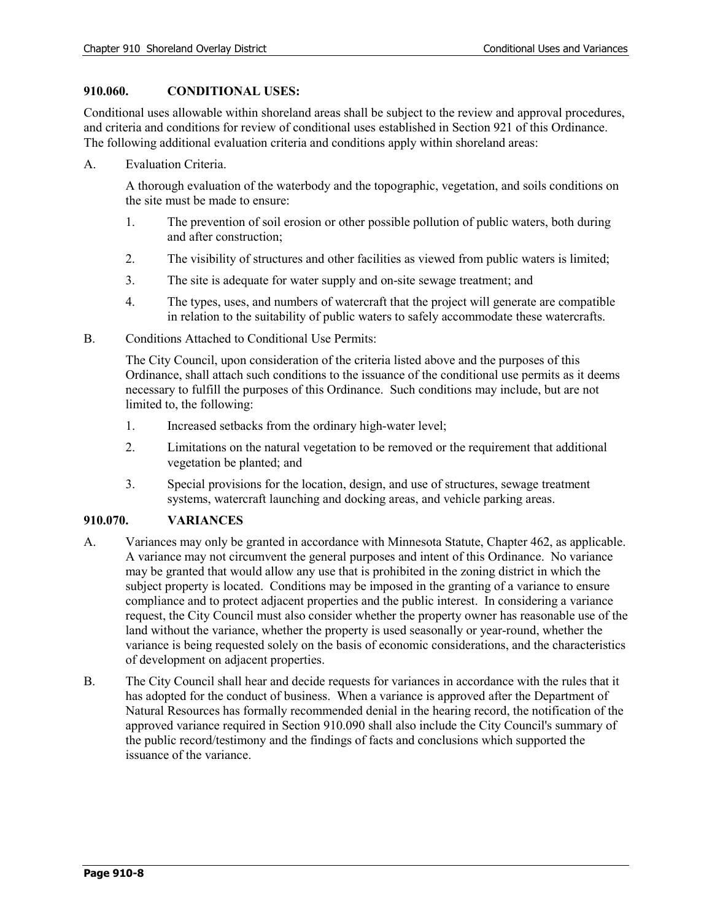#### **910.060. CONDITIONAL USES:**

Conditional uses allowable within shoreland areas shall be subject to the review and approval procedures, and criteria and conditions for review of conditional uses established in Section 921 of this Ordinance. The following additional evaluation criteria and conditions apply within shoreland areas:

A. Evaluation Criteria.

A thorough evaluation of the waterbody and the topographic, vegetation, and soils conditions on the site must be made to ensure:

- 1. The prevention of soil erosion or other possible pollution of public waters, both during and after construction;
- 2. The visibility of structures and other facilities as viewed from public waters is limited;
- 3. The site is adequate for water supply and on-site sewage treatment; and
- 4. The types, uses, and numbers of watercraft that the project will generate are compatible in relation to the suitability of public waters to safely accommodate these watercrafts.
- B. Conditions Attached to Conditional Use Permits:

The City Council, upon consideration of the criteria listed above and the purposes of this Ordinance, shall attach such conditions to the issuance of the conditional use permits as it deems necessary to fulfill the purposes of this Ordinance. Such conditions may include, but are not limited to, the following:

- 1. Increased setbacks from the ordinary high-water level;
- 2. Limitations on the natural vegetation to be removed or the requirement that additional vegetation be planted; and
- 3. Special provisions for the location, design, and use of structures, sewage treatment systems, watercraft launching and docking areas, and vehicle parking areas.

### **910.070. VARIANCES**

- A. Variances may only be granted in accordance with Minnesota Statute, Chapter 462, as applicable. A variance may not circumvent the general purposes and intent of this Ordinance. No variance may be granted that would allow any use that is prohibited in the zoning district in which the subject property is located. Conditions may be imposed in the granting of a variance to ensure compliance and to protect adjacent properties and the public interest. In considering a variance request, the City Council must also consider whether the property owner has reasonable use of the land without the variance, whether the property is used seasonally or year-round, whether the variance is being requested solely on the basis of economic considerations, and the characteristics of development on adjacent properties.
- B. The City Council shall hear and decide requests for variances in accordance with the rules that it has adopted for the conduct of business. When a variance is approved after the Department of Natural Resources has formally recommended denial in the hearing record, the notification of the approved variance required in Section 910.090 shall also include the City Council's summary of the public record/testimony and the findings of facts and conclusions which supported the issuance of the variance.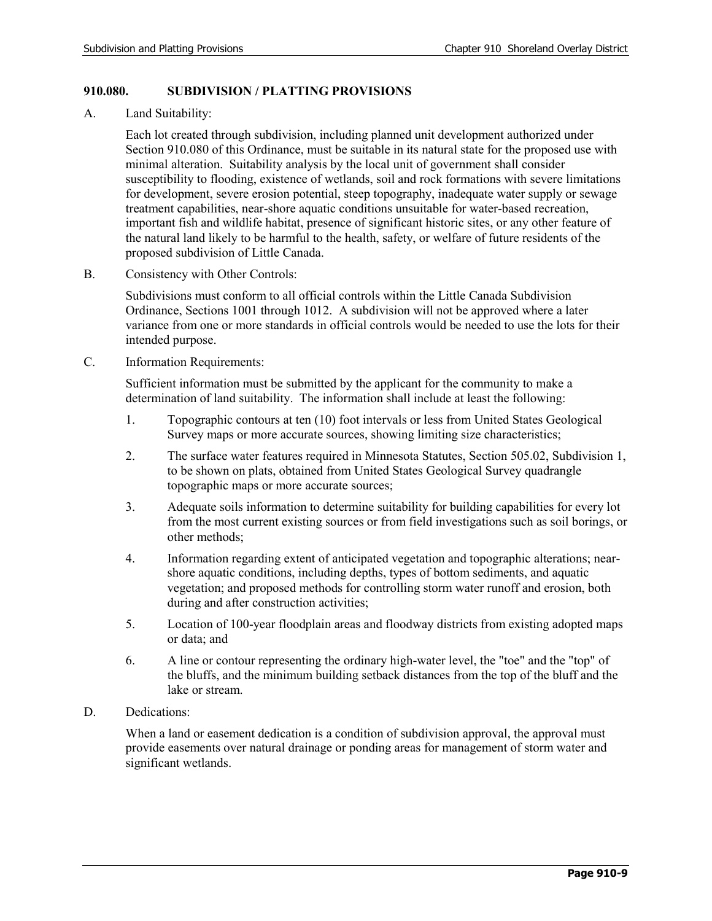### **910.080. SUBDIVISION / PLATTING PROVISIONS**

A. Land Suitability:

Each lot created through subdivision, including planned unit development authorized under Section 910.080 of this Ordinance, must be suitable in its natural state for the proposed use with minimal alteration. Suitability analysis by the local unit of government shall consider susceptibility to flooding, existence of wetlands, soil and rock formations with severe limitations for development, severe erosion potential, steep topography, inadequate water supply or sewage treatment capabilities, near-shore aquatic conditions unsuitable for water-based recreation, important fish and wildlife habitat, presence of significant historic sites, or any other feature of the natural land likely to be harmful to the health, safety, or welfare of future residents of the proposed subdivision of Little Canada.

B. Consistency with Other Controls:

Subdivisions must conform to all official controls within the Little Canada Subdivision Ordinance, Sections 1001 through 1012. A subdivision will not be approved where a later variance from one or more standards in official controls would be needed to use the lots for their intended purpose.

C. Information Requirements:

Sufficient information must be submitted by the applicant for the community to make a determination of land suitability. The information shall include at least the following:

- 1. Topographic contours at ten (10) foot intervals or less from United States Geological Survey maps or more accurate sources, showing limiting size characteristics;
- 2. The surface water features required in Minnesota Statutes, Section 505.02, Subdivision 1, to be shown on plats, obtained from United States Geological Survey quadrangle topographic maps or more accurate sources;
- 3. Adequate soils information to determine suitability for building capabilities for every lot from the most current existing sources or from field investigations such as soil borings, or other methods;
- 4. Information regarding extent of anticipated vegetation and topographic alterations; nearshore aquatic conditions, including depths, types of bottom sediments, and aquatic vegetation; and proposed methods for controlling storm water runoff and erosion, both during and after construction activities;
- 5. Location of 100-year floodplain areas and floodway districts from existing adopted maps or data; and
- 6. A line or contour representing the ordinary high-water level, the "toe" and the "top" of the bluffs, and the minimum building setback distances from the top of the bluff and the lake or stream.
- D. Dedications:

When a land or easement dedication is a condition of subdivision approval, the approval must provide easements over natural drainage or ponding areas for management of storm water and significant wetlands.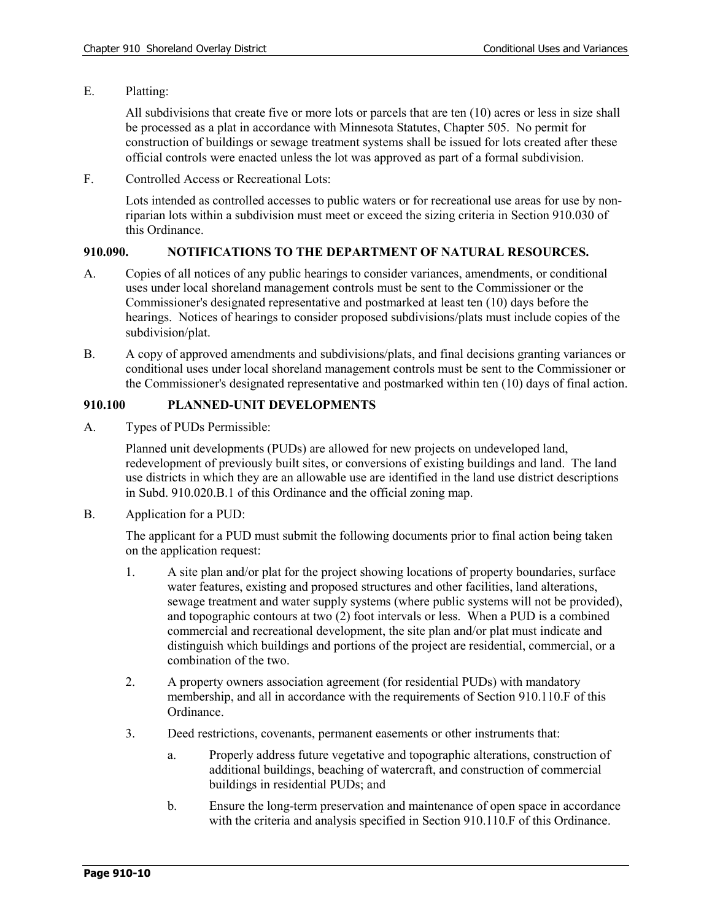E. Platting:

All subdivisions that create five or more lots or parcels that are ten (10) acres or less in size shall be processed as a plat in accordance with Minnesota Statutes, Chapter 505. No permit for construction of buildings or sewage treatment systems shall be issued for lots created after these official controls were enacted unless the lot was approved as part of a formal subdivision.

F. Controlled Access or Recreational Lots:

Lots intended as controlled accesses to public waters or for recreational use areas for use by nonriparian lots within a subdivision must meet or exceed the sizing criteria in Section 910.030 of this Ordinance.

#### **910.090. NOTIFICATIONS TO THE DEPARTMENT OF NATURAL RESOURCES.**

- A. Copies of all notices of any public hearings to consider variances, amendments, or conditional uses under local shoreland management controls must be sent to the Commissioner or the Commissioner's designated representative and postmarked at least ten (10) days before the hearings. Notices of hearings to consider proposed subdivisions/plats must include copies of the subdivision/plat.
- B. A copy of approved amendments and subdivisions/plats, and final decisions granting variances or conditional uses under local shoreland management controls must be sent to the Commissioner or the Commissioner's designated representative and postmarked within ten (10) days of final action.

#### **910.100 PLANNED-UNIT DEVELOPMENTS**

A. Types of PUDs Permissible:

Planned unit developments (PUDs) are allowed for new projects on undeveloped land, redevelopment of previously built sites, or conversions of existing buildings and land. The land use districts in which they are an allowable use are identified in the land use district descriptions in Subd. 910.020.B.1 of this Ordinance and the official zoning map.

B. Application for a PUD:

The applicant for a PUD must submit the following documents prior to final action being taken on the application request:

- 1. A site plan and/or plat for the project showing locations of property boundaries, surface water features, existing and proposed structures and other facilities, land alterations, sewage treatment and water supply systems (where public systems will not be provided), and topographic contours at two (2) foot intervals or less. When a PUD is a combined commercial and recreational development, the site plan and/or plat must indicate and distinguish which buildings and portions of the project are residential, commercial, or a combination of the two.
- 2. A property owners association agreement (for residential PUDs) with mandatory membership, and all in accordance with the requirements of Section 910.110.F of this Ordinance.
- 3. Deed restrictions, covenants, permanent easements or other instruments that:
	- a. Properly address future vegetative and topographic alterations, construction of additional buildings, beaching of watercraft, and construction of commercial buildings in residential PUDs; and
	- b. Ensure the long-term preservation and maintenance of open space in accordance with the criteria and analysis specified in Section 910.110.F of this Ordinance.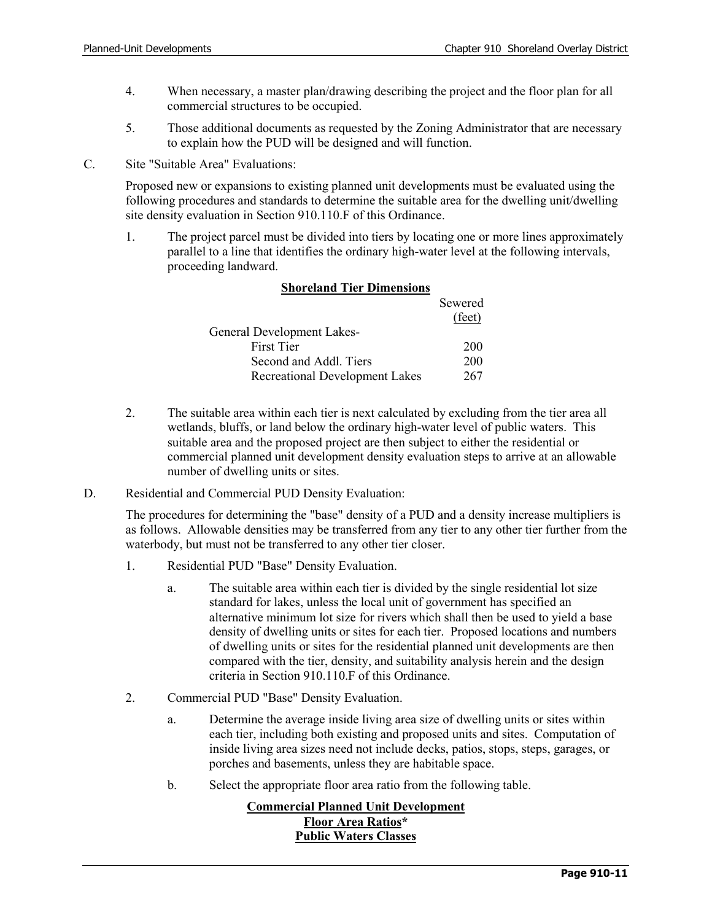- 4. When necessary, a master plan/drawing describing the project and the floor plan for all commercial structures to be occupied.
- 5. Those additional documents as requested by the Zoning Administrator that are necessary to explain how the PUD will be designed and will function.
- C. Site "Suitable Area" Evaluations:

Proposed new or expansions to existing planned unit developments must be evaluated using the following procedures and standards to determine the suitable area for the dwelling unit/dwelling site density evaluation in Section 910.110.F of this Ordinance.

1. The project parcel must be divided into tiers by locating one or more lines approximately parallel to a line that identifies the ordinary high-water level at the following intervals, proceeding landward.

|                                   | Sewered         |
|-----------------------------------|-----------------|
|                                   | $(\text{feet})$ |
| <b>General Development Lakes-</b> |                 |
| <b>First Tier</b>                 | 200             |
| Second and Addl. Tiers            | 200             |
| Recreational Development Lakes    | 267             |

### **Shoreland Tier Dimensions**

- 2. The suitable area within each tier is next calculated by excluding from the tier area all wetlands, bluffs, or land below the ordinary high-water level of public waters. This suitable area and the proposed project are then subject to either the residential or commercial planned unit development density evaluation steps to arrive at an allowable number of dwelling units or sites.
- D. Residential and Commercial PUD Density Evaluation:

The procedures for determining the "base" density of a PUD and a density increase multipliers is as follows. Allowable densities may be transferred from any tier to any other tier further from the waterbody, but must not be transferred to any other tier closer.

- 1. Residential PUD "Base" Density Evaluation.
	- a. The suitable area within each tier is divided by the single residential lot size standard for lakes, unless the local unit of government has specified an alternative minimum lot size for rivers which shall then be used to yield a base density of dwelling units or sites for each tier. Proposed locations and numbers of dwelling units or sites for the residential planned unit developments are then compared with the tier, density, and suitability analysis herein and the design criteria in Section 910.110.F of this Ordinance.
- 2. Commercial PUD "Base" Density Evaluation.
	- a. Determine the average inside living area size of dwelling units or sites within each tier, including both existing and proposed units and sites. Computation of inside living area sizes need not include decks, patios, stops, steps, garages, or porches and basements, unless they are habitable space.
	- b. Select the appropriate floor area ratio from the following table.

# **Commercial Planned Unit Development Floor Area Ratios\* Public Waters Classes**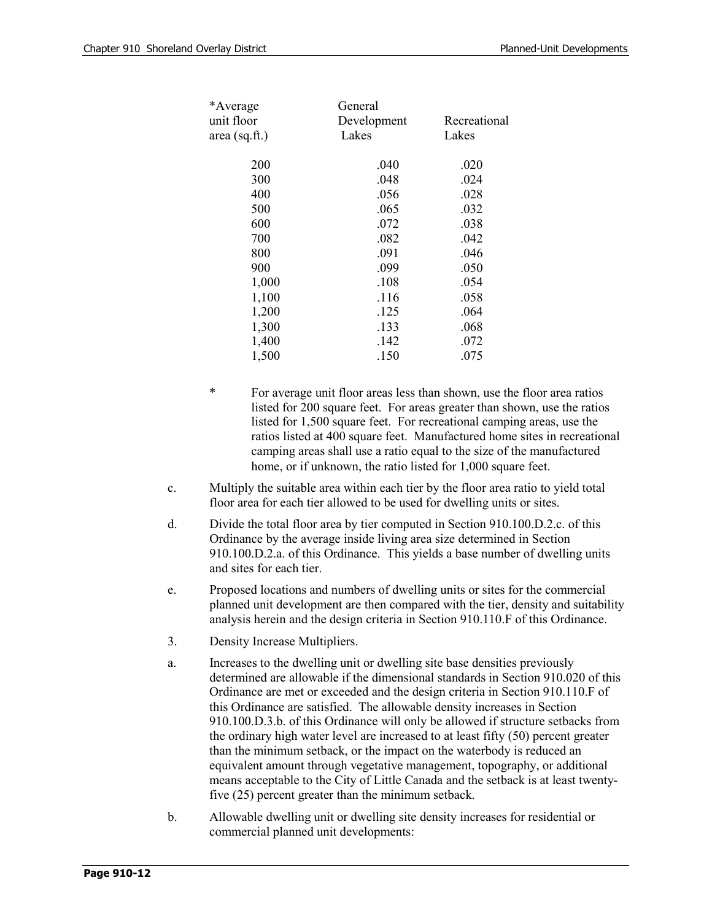| *Average<br>unit floor<br>area (sq.ft.) | General<br>Development<br>Lakes | Recreational<br>Lakes |
|-----------------------------------------|---------------------------------|-----------------------|
| 200                                     | .040                            | .020                  |
| 300                                     | .048                            | .024                  |
| 400                                     | .056                            | .028                  |
| 500                                     | .065                            | .032                  |
| 600                                     | .072                            | .038                  |
| 700                                     | .082                            | .042                  |
| 800                                     | .091                            | .046                  |
| 900                                     | .099                            | .050                  |
| 1,000                                   | .108                            | .054                  |
| 1,100                                   | .116                            | .058                  |
| 1,200                                   | .125                            | .064                  |
| 1,300                                   | .133                            | .068                  |
| 1,400                                   | .142                            | .072                  |
| 1,500                                   | .150                            | .075                  |
|                                         |                                 |                       |

- For average unit floor areas less than shown, use the floor area ratios listed for 200 square feet. For areas greater than shown, use the ratios listed for 1,500 square feet. For recreational camping areas, use the ratios listed at 400 square feet. Manufactured home sites in recreational camping areas shall use a ratio equal to the size of the manufactured home, or if unknown, the ratio listed for 1,000 square feet.
- c. Multiply the suitable area within each tier by the floor area ratio to yield total floor area for each tier allowed to be used for dwelling units or sites.
- d. Divide the total floor area by tier computed in Section 910.100.D.2.c. of this Ordinance by the average inside living area size determined in Section 910.100.D.2.a. of this Ordinance. This yields a base number of dwelling units and sites for each tier.
- e. Proposed locations and numbers of dwelling units or sites for the commercial planned unit development are then compared with the tier, density and suitability analysis herein and the design criteria in Section 910.110.F of this Ordinance.
- 3. Density Increase Multipliers.
- a. Increases to the dwelling unit or dwelling site base densities previously determined are allowable if the dimensional standards in Section 910.020 of this Ordinance are met or exceeded and the design criteria in Section 910.110.F of this Ordinance are satisfied. The allowable density increases in Section 910.100.D.3.b. of this Ordinance will only be allowed if structure setbacks from the ordinary high water level are increased to at least fifty (50) percent greater than the minimum setback, or the impact on the waterbody is reduced an equivalent amount through vegetative management, topography, or additional means acceptable to the City of Little Canada and the setback is at least twentyfive (25) percent greater than the minimum setback.
- b. Allowable dwelling unit or dwelling site density increases for residential or commercial planned unit developments: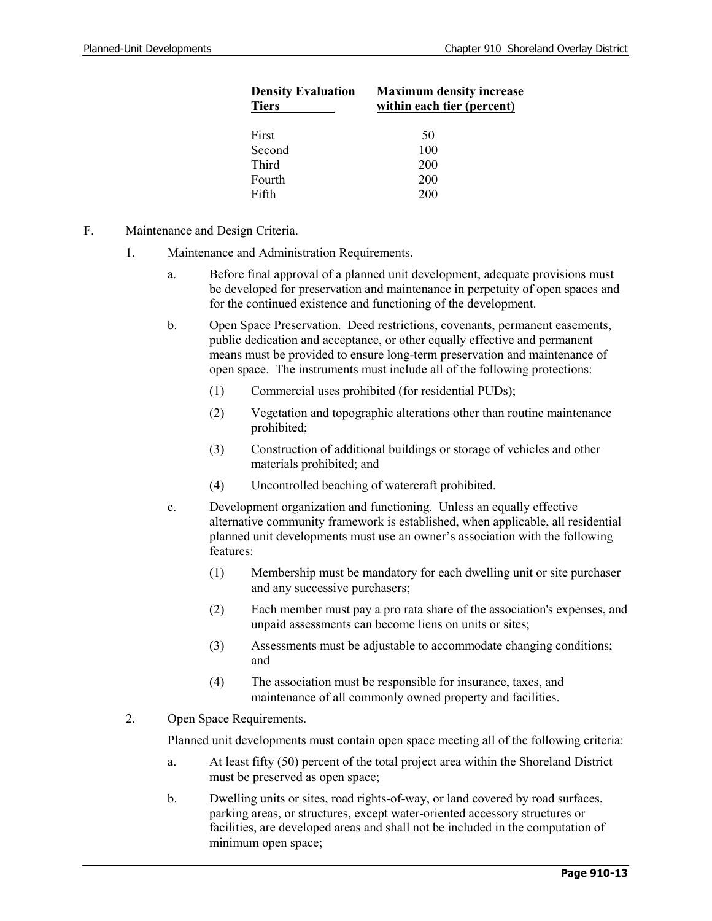| <b>Maximum density increase</b><br>within each tier (percent) |  |  |
|---------------------------------------------------------------|--|--|
| 50                                                            |  |  |
| 100                                                           |  |  |
| <b>200</b>                                                    |  |  |
| <b>200</b>                                                    |  |  |
| 200                                                           |  |  |
|                                                               |  |  |

- F. Maintenance and Design Criteria.
	- 1. Maintenance and Administration Requirements.
		- a. Before final approval of a planned unit development, adequate provisions must be developed for preservation and maintenance in perpetuity of open spaces and for the continued existence and functioning of the development.
		- b. Open Space Preservation. Deed restrictions, covenants, permanent easements, public dedication and acceptance, or other equally effective and permanent means must be provided to ensure long-term preservation and maintenance of open space. The instruments must include all of the following protections:
			- (1) Commercial uses prohibited (for residential PUDs);
			- (2) Vegetation and topographic alterations other than routine maintenance prohibited;
			- (3) Construction of additional buildings or storage of vehicles and other materials prohibited; and
			- (4) Uncontrolled beaching of watercraft prohibited.
		- c. Development organization and functioning. Unless an equally effective alternative community framework is established, when applicable, all residential planned unit developments must use an owner's association with the following features:
			- (1) Membership must be mandatory for each dwelling unit or site purchaser and any successive purchasers;
			- (2) Each member must pay a pro rata share of the association's expenses, and unpaid assessments can become liens on units or sites;
			- (3) Assessments must be adjustable to accommodate changing conditions; and
			- (4) The association must be responsible for insurance, taxes, and maintenance of all commonly owned property and facilities.
	- 2. Open Space Requirements.

Planned unit developments must contain open space meeting all of the following criteria:

- a. At least fifty (50) percent of the total project area within the Shoreland District must be preserved as open space;
- b. Dwelling units or sites, road rights-of-way, or land covered by road surfaces, parking areas, or structures, except water-oriented accessory structures or facilities, are developed areas and shall not be included in the computation of minimum open space;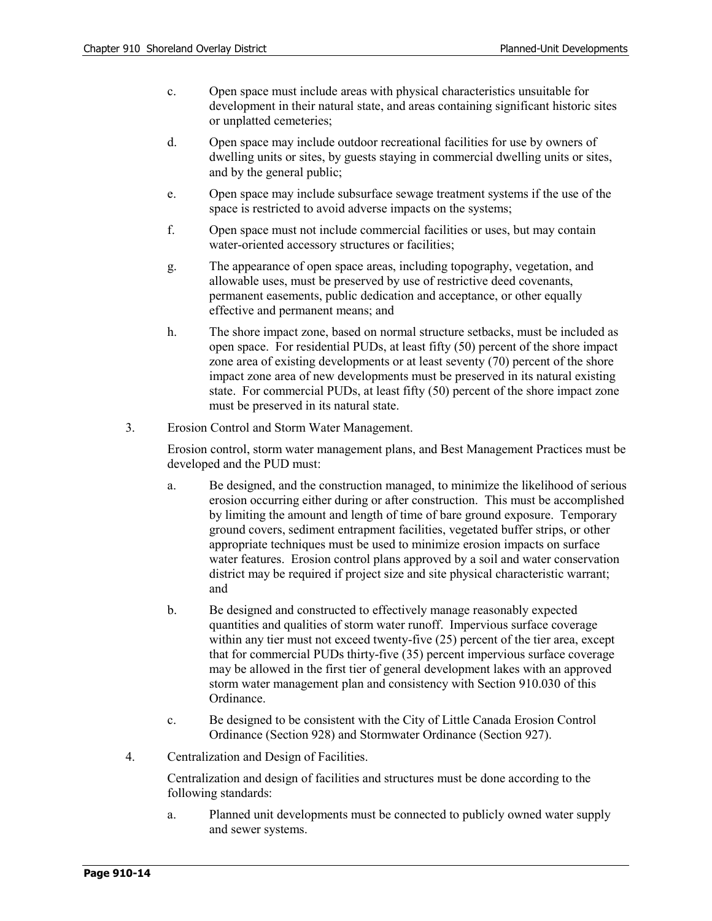- c. Open space must include areas with physical characteristics unsuitable for development in their natural state, and areas containing significant historic sites or unplatted cemeteries;
- d. Open space may include outdoor recreational facilities for use by owners of dwelling units or sites, by guests staying in commercial dwelling units or sites, and by the general public;
- e. Open space may include subsurface sewage treatment systems if the use of the space is restricted to avoid adverse impacts on the systems;
- f. Open space must not include commercial facilities or uses, but may contain water-oriented accessory structures or facilities;
- g. The appearance of open space areas, including topography, vegetation, and allowable uses, must be preserved by use of restrictive deed covenants, permanent easements, public dedication and acceptance, or other equally effective and permanent means; and
- h. The shore impact zone, based on normal structure setbacks, must be included as open space. For residential PUDs, at least fifty (50) percent of the shore impact zone area of existing developments or at least seventy (70) percent of the shore impact zone area of new developments must be preserved in its natural existing state. For commercial PUDs, at least fifty (50) percent of the shore impact zone must be preserved in its natural state.
- 3. Erosion Control and Storm Water Management.

Erosion control, storm water management plans, and Best Management Practices must be developed and the PUD must:

- a. Be designed, and the construction managed, to minimize the likelihood of serious erosion occurring either during or after construction. This must be accomplished by limiting the amount and length of time of bare ground exposure. Temporary ground covers, sediment entrapment facilities, vegetated buffer strips, or other appropriate techniques must be used to minimize erosion impacts on surface water features. Erosion control plans approved by a soil and water conservation district may be required if project size and site physical characteristic warrant; and
- b. Be designed and constructed to effectively manage reasonably expected quantities and qualities of storm water runoff. Impervious surface coverage within any tier must not exceed twenty-five (25) percent of the tier area, except that for commercial PUDs thirty-five (35) percent impervious surface coverage may be allowed in the first tier of general development lakes with an approved storm water management plan and consistency with Section 910.030 of this Ordinance.
- c. Be designed to be consistent with the City of Little Canada Erosion Control Ordinance (Section 928) and Stormwater Ordinance (Section 927).
- 4. Centralization and Design of Facilities.

Centralization and design of facilities and structures must be done according to the following standards:

a. Planned unit developments must be connected to publicly owned water supply and sewer systems.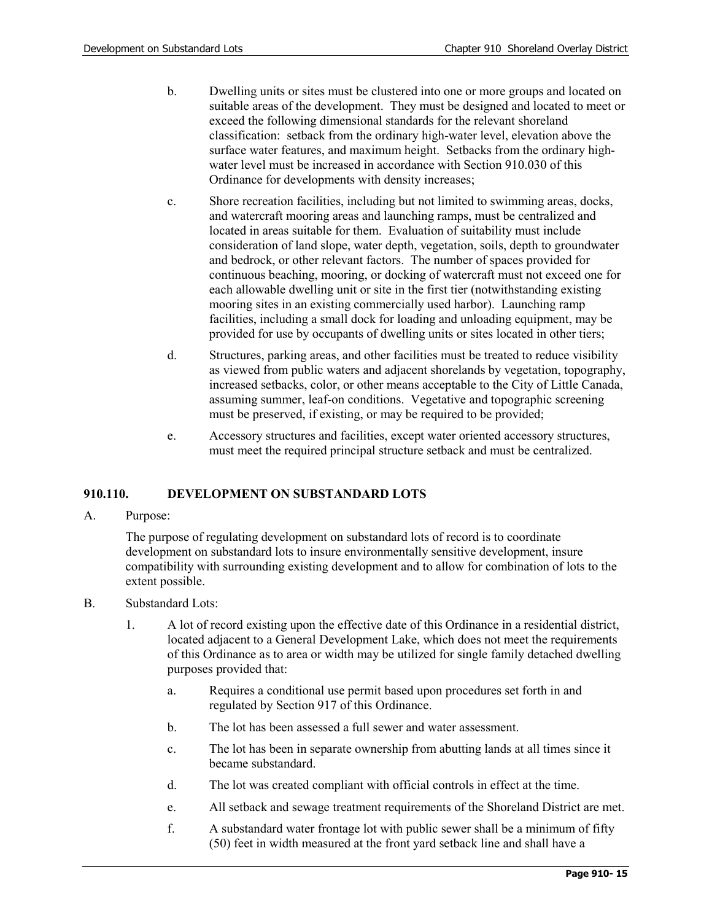- b. Dwelling units or sites must be clustered into one or more groups and located on suitable areas of the development. They must be designed and located to meet or exceed the following dimensional standards for the relevant shoreland classification: setback from the ordinary high-water level, elevation above the surface water features, and maximum height. Setbacks from the ordinary highwater level must be increased in accordance with Section 910.030 of this Ordinance for developments with density increases;
- c. Shore recreation facilities, including but not limited to swimming areas, docks, and watercraft mooring areas and launching ramps, must be centralized and located in areas suitable for them. Evaluation of suitability must include consideration of land slope, water depth, vegetation, soils, depth to groundwater and bedrock, or other relevant factors. The number of spaces provided for continuous beaching, mooring, or docking of watercraft must not exceed one for each allowable dwelling unit or site in the first tier (notwithstanding existing mooring sites in an existing commercially used harbor). Launching ramp facilities, including a small dock for loading and unloading equipment, may be provided for use by occupants of dwelling units or sites located in other tiers;
- d. Structures, parking areas, and other facilities must be treated to reduce visibility as viewed from public waters and adjacent shorelands by vegetation, topography, increased setbacks, color, or other means acceptable to the City of Little Canada, assuming summer, leaf-on conditions. Vegetative and topographic screening must be preserved, if existing, or may be required to be provided;
- e. Accessory structures and facilities, except water oriented accessory structures, must meet the required principal structure setback and must be centralized.

# **910.110. DEVELOPMENT ON SUBSTANDARD LOTS**

A. Purpose:

The purpose of regulating development on substandard lots of record is to coordinate development on substandard lots to insure environmentally sensitive development, insure compatibility with surrounding existing development and to allow for combination of lots to the extent possible.

- B. Substandard Lots:
	- 1. A lot of record existing upon the effective date of this Ordinance in a residential district, located adjacent to a General Development Lake, which does not meet the requirements of this Ordinance as to area or width may be utilized for single family detached dwelling purposes provided that:
		- a. Requires a conditional use permit based upon procedures set forth in and regulated by Section 917 of this Ordinance.
		- b. The lot has been assessed a full sewer and water assessment.
		- c. The lot has been in separate ownership from abutting lands at all times since it became substandard.
		- d. The lot was created compliant with official controls in effect at the time.
		- e. All setback and sewage treatment requirements of the Shoreland District are met.
		- f. A substandard water frontage lot with public sewer shall be a minimum of fifty (50) feet in width measured at the front yard setback line and shall have a